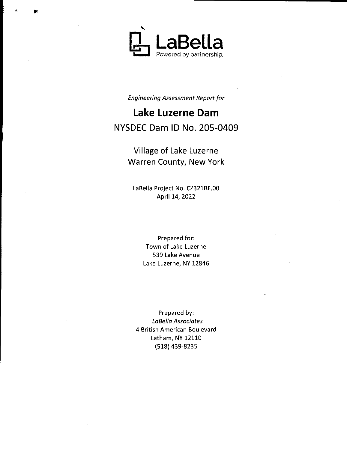

Engineering Assessment Report for

# Lake Luzerne Dam NYSDEC Dam ID No. 205-0409

Village of Lake Luzerne Warren County, New York

LaBella Project No. CZ321BF.00 April 14, 2022

> Prepared for: Town of Lake Luzerne 539 Lake Avenue Lake Luzerne, NY 12846

Prepared by: LaBella Associates 4 British American Boulevard Latham, NY 12110 518) 439- 8235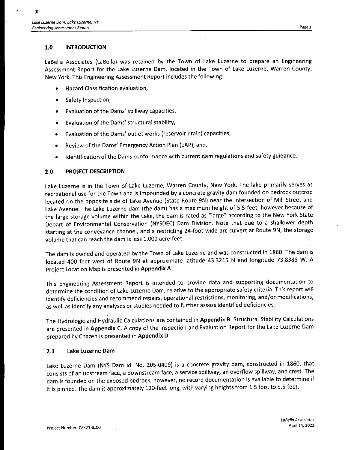I-

## 1.0 INTRODUCTION

LaBella Associates (LaBella) was retained by the Town of Lake Luzerne to prepare an Engineering Assessment Report for the Lake Luzerne Dam, located in the Town of Lake Luzerne, Warren County, New York. This Engineering Assessment Report includes the following:

- Hazard Classification evaluation,
- Safety Inspection,
- Evaluation of the Dams' spillway capacities,  $\bullet$
- Evaluation of the Dams' structural stability,
- Evaluation of the Dams' outlet works (reservoir drain) capacities,
- Review of the Dams' Emergency Action Plan (EAP), and,
- Identification of the Dams conformance with current dam regulations and safety guidance.

## 2.0 PROJECT DESCRIPTION

Lake Luzerne is in the Town of Lake Luzerne, Warren County, New York. The lake primarily serves as recreational use for the Town and is impounded by <sup>a</sup> concrete gravity dam founded on bedrock outcrop located on the opposite side of Lake Avenue ( State Route 9N) near the intersection of Mill Street and Lake Avenue. The Lake Luzerne dam ( the dam) has <sup>a</sup> maximum height of 5. 5- feet, however because of the large storage volume within the Lake, the dam is rated as "large" according to the New York State Depart of Environmental Conservation ( NYSDEC) Dam Division. Note that due to <sup>a</sup> shallower depth starting at the conveyance channel, and <sup>a</sup> restricting 24-foot-wide arc culvert at Route 9N, the storage volume that can reach the dam is less 1,000 acre-feet.

The dam is owned and operated by the Town of Lake Luzerne and was constructed in 1860. The dam is located 400 feet west of Route 9N at approximate latitude 43.3215 N and longitude 73.8385 W. A Project Location Map is presented in Appendix A.

This Engineering Assessment Report is intended to provide data and supporting documentation to determine the condition of Lake Luzerne Dam, relative to the appropriate safety criteria. This report will identify deficiencies and recommend repairs, operational restrictions, monitoring, and/or modifications, as well as identify any analyses or studies needed to further assess identified deficiencies.

The Hydrologic and Hydraulic Calculations are contained in Appendix B. Structural Stability Calculations are presented in Appendix C. A copy of the Inspection and Evaluation Report for the Lake Luzerne Dam prepared by Chazen is presented in Appendix D.

## 2.1 Lake Luzerne Dam

Lake Luzerne Dam (NYS Dam Id. No. 205-0409) is a concrete gravity dam, constructed in 1860, that consists of an upstream face, a downstream face, a service spillway, an overflow spillway, and crest. The dam is founded on the exposed bedrock; however, no record documentation is available to determine if it is pinned. The dam is approximately 120-feet long, with varying heights from 1.5 foot to 5.5-feet.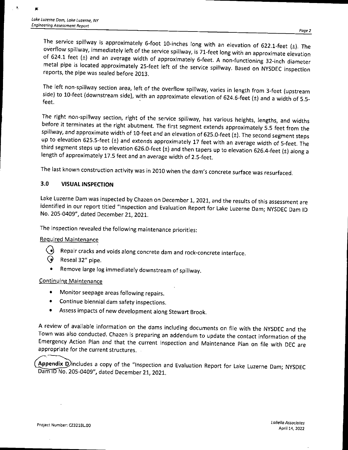F

 $\mathbf{y}$ 

The service spillway is approximately 6-foot 10-inches long with an elevation of 622.1-feet ( $\pm$ ). The overflow spillway, immediately left of the service spillway, is 71-feet long with an approximate elevation of 624.1 feet ( $\pm$ ) and an average width of approximately 6-feet. A non-functioning 32-inch diameter metal pipe is located approximately 25-feet left of the service spillway. Based on NYSDEC inspection reports, the pipe was sealed before 2013.

side) to 10-feet (downstream side), with an approximate elevation of 624.6-feet (±) and a width of 5.5-<br>feet. The left non-spillway section area, left of the overflow spillway, varies in length from 3-feet (upstream

The right non-spillway section, right of the service spillway, has various heights, lengths, and widths before it terminates at the right abutment. The first segment extends approximately 5.5 feet from the spillway, and approximate width of 10-feet and an elevation of 625.0-feet (±). The second segment steps up to elevation 625.5-feet (±) and extends approximately 17 feet with an average width of 5-feet. The third segment steps up to elevation 626.0-feet (±) and then tapers up to elevation 626.4-feet (±) along <sup>a</sup> length of approximately 17.5 feet and an average width of 2.5-feet.

The last known construction activity was in 2010 when the dam's concrete surface was resurfaced.

## 3.0 VISUAL INSPECTION

Lake Luzerne Dam was inspected by Chazen on December 1, 2021, and the results of this assessment are identified in our report titled "Inspection and Evaluation Report for Lake Luzerne Dam; NYSDEC Dam ID No. 205- 0409", dated December 21, 2021.

The inspection revealed the following maintenance priorities:

## Required Maintenance

- Repair cracks and voids along concrete dam and rock-concrete interface.
- Reseal 32" pipe.
- Remove large log immediately downstream of spillway.

## Continuing Maintenance

- Monitor seepage areas following repairs.  $\bullet$
- Continue biennial dam safety inspections.
- Assess impacts of new development along Stewart Brook.

A review of available information on the dams including documents on file with the NYSDEC and the Town was also conducted. Chazen is preparing an addendum to update the contact information of the Emergency Action Plan and that the current Inspection and Maintenance Plan on file with DEC are appropriate for the current structures.

Appendix Dincludes a copy of the "Inspection and Evaluation Report for Lake Luzerne Dam; NYSDEC Dam No. 205-0409", dated December 21, 2021.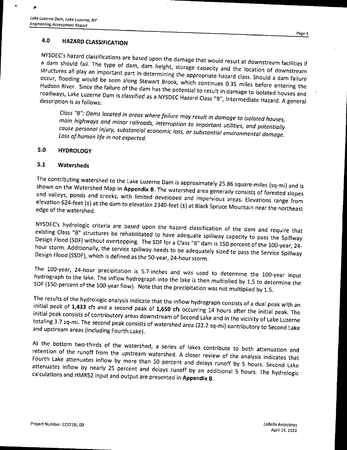## 4.<sup>0</sup> HAZARD CLASSIFICATION

NYSDEC's hazard classifications are based upon the damage that would result at downstream facilities if <sup>a</sup> dam should fail. The type of dam, dam height, storage capacity and the location of downstream structures all play an important part in determining the appropriate hazard class. Should <sup>a</sup> dam failure occur, flooding would be seen along Stewart Brook, which continues 0.35 miles before entering the Hudson River. Since the failure of the dam has the potential to result in damage to isolated houses and roadways, Lake Luzerne Dam is classified as a NYSDEC Hazard Class "B", Intermediate Hazard. A general description is as follows:

Class " B": Dams located in areas where failure may result in damage to isolated houses, cause personal injury, substantial economic loss, anough utilities, and potentially cause personal injury, substantial economic loss, or substantial environmental damage. Loss of human life in not expected.

## 5.0 HYDROLOGY

## 5.1 Watersheds

The contributing watershed to the Lake Luzerne Dam is approximately 25.86 square-miles (sq-mi) and is shown on the Watershed Map in Appendix B. The watershed area generally consists of forested slopes and valleys, ponds and creeks, with limited developed and impervious areas. Elevations range from elevation 624-feet (±) at the dam to elevation 2340-feet (±) at Black Spruce Mountain near the northeast edge of the watershed.

NYSDEC's hydrologic criteria are based upon the hazard classification of the dam and require that<br>existing Class "B" structures be rehabilitated to have adequate spillway capacity to pass the Spillway Design Flood (SDF) without overtopping. The SDF for a Class "B" dam is 150 percent of the 100-year, 24hour storm. Additionally, the service spillway needs to be adequately sized to pass the Service Spillway Design Flood (SSDF), which is defined as the 50-year, 24-hour storm.

The 100-year, 24-hour precipitation is 5. 7- inches and was used to determine the 100-year input hydrograph to the lake. The inflow hydrograph into the lake is then multiplied by 1.5 to determine the SDF (150-percent of the 100-year flow). Note that the precipitation was not multiplied by 1.5.

The results of the hydrologic analysis indicate that the inflow hydrograph consists of <sup>a</sup> dual peak with an initial peak of 1,433 cfs and a second peak of 1,650 cfs occurring 14 hours after the initial peak. The initial peak consists of contributory areas downstream of Second Lake and in the vicinity of Lake Luzerne totaling 3.7 sq-mi. The second peak consists of watershed area (22.2 sq-mi) contributory to Second Lake and upstream areas (including Fourth Lake).

At the bottom two-thirds of the watershed, a series of lakes contribute to both attenuation and retention of the runoff from the upstream watershed. A closer review of the analysis indicates that Fourth Lake attenuates inflow by more than 50 percent and delays runoff by 5 hours. Second Lake<br>attenuates inflow by nearly 25 percent and delays runoff by an additional 5 hours. The hydrologic calculations and HMR52 input and output are presented in Appendix B.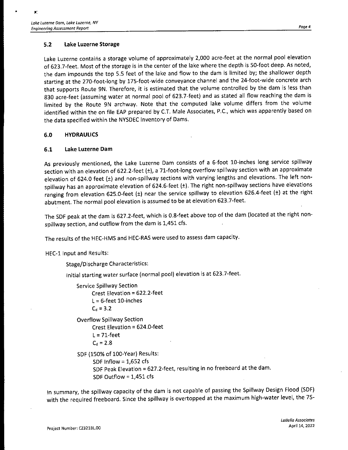### 5.2 Lake Luzerne Storage

Lake Luzerne contains <sup>a</sup> storage volume of approximately 2, 000 acre-feet at the normal pool elevation of 623.7- feet. Most of the storage is in the center of the lake where the depth is 50-foot deep. As noted, the dam impounds the top 5.5 feet of the lake and flow to the dam is limited by; the shallower depth starting at the 270-foot-long by 175-foot-wide conveyance channel and the 24-foot-wide concrete arch that supports Route 9N. Therefore, it is estimated that the volume controlled by the dam is less than 830 acre- feet (assuming water at normal pool of 623.7- feet) and as stated all flow reaching the dam is limited by the Route 9N archway. Note that the computed lake volume differs from the volume identified within the on file EAP prepared by C.T. Male Associates, P.C., which was apparently based on the data specified within the NYSDEC Inventory of Dams.

#### 6.0 HYDRAULICS

### 6.1 Lake Luzerne Dam

As previously mentioned, the Lake Luzerne Dam consists of a 6-foot 10-inches long service spillway section with an elevation of 622.2-feet (±), a 71-foot-long overflow spillway section with an approximate elevation of 624.0 feet  $(\pm)$  and non-spillway sections with varying lengths and elevations. The left nonspillway has an approximate elevation of 624.6-feet (±). The right non-spillway sections have elevations ranging from elevation 625.0-feet (±) near the service spillway to elevation 626.4-feet (±) at the right abutment. The normal pool elevation is assumed to be at elevation 623. 7-feet.

The SDF peak at the dam is 627.2-feet, which is 0.8-feet above top of the dam (located at the right nonspillway section, and outflow from the dam is 1,451 cfs.

The results of the HEC-HMS and HEC-RAS were used to assess dam capacity.

HEC-1 Input and Results:

Stage/Discharge Characteristics:

Initial starting water surface (normal pool) elevation is at 623.7-feet.

```
Service Spillway Section
Crest Elevation = 622. 2- feet
L = 6-feet 10-inches
C_d = 3.2
```
Overflow Spillway Section Crest Elevation= 624.0- feet  $L = 71$ -feet  $C_d = 2.8$ 

SDF ( 150% of 100-Year) Results: SDF Inflow  $= 1,652$  cfs SDF Peak Elevation = 627.2-feet, resulting in no freeboard at the dam. SDF Outflow  $= 1,451$  cfs

In summary, the spillway capacity of the dam is not capable of passing the Spillway Design Flood ( SDF) with the required freeboard. Since the spillway is overtopped at the maximum high-water level, the 75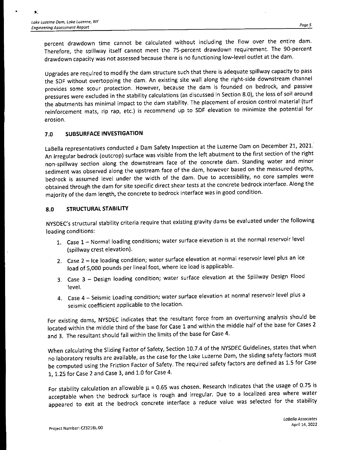percent drawdown time cannot be calculated without including the flow over the entire dam. Therefore, the spillway itself cannot meet the 75-percent drawdown requirement. The 90-percent drawdown capacity was not assessed because there is no functioning low-level outlet at the dam.

Upgrades are required to modify the dam structure such that there is adequate spillway capacity to pass the SDF without overtopping the dam. An existing site wall along the right-side downstream channel provides some scour protection. However, because the dam is founded on bedrock, and passive pressures were excluded in the stability calculations (as discussed in Section 8.0), the loss of soil around the abutments has minimal impact to the dam stability. The placement of erosion control material (turf reinforcement mats, rip rap, etc.) is recommend up to SDF elevation to minimize the potential for erosion.

#### 7.0 SUBSURFACE INVESTIGATION

LaBella representatives conducted <sup>a</sup>' Dam Safety Inspection at the Luzerne Dam on December 21, 2021. An irregular bedrock (outcrop) surface was visible from the left abutment to the first section of the right non- spillway section along the downstream face of the concrete dam. Standing water and minor sediment was observed along the upstream face of the dam, however based on the measured depths, bedrock is assumed level under the width of the dam. Due to accessibility, no core samples were obtained through the dam for site specific direct shear tests at the concrete bedrock interface. Along the majority of the dam length, the concrete to bedrock interface was in good condition.

#### 8.0 STRUCTURAL STABILITY

NYSDEC's structural stability criteria require that existing gravity dams be evaluated under the following loading conditions:

- 1. Case 1 Normal loading conditions; water surface elevation is at the normal reservoir level spillway crest elevation).
- 2. Case 2 Ice loading condition; water surface elevation at normal reservoir level plus an ice load of 5, 000 pounds per lineal foot, where ice load is applicable.
- 3. Case 3 Design loading condition; water surface elevation at the Spillway Design Flood level.
- 4. Case 4 Seismic Loading condition; water surface elevation at normal reservoir level plus <sup>a</sup> seismic coefficient applicable to the location.

For existing dams, NYSDEC indicates that the resultant force from an overturning analysis should be located within the middle third of the base for Case <sup>1</sup> and within the middle half of the base for Cases 2 and 3. The resultant should fall within the limits of the base for Case 4.

When calculating the Sliding Factor of Safety, Section 10.7.4 of the NYSDEC Guidelines, states that when no laboratory results are available, as the case for the Lake Luzerne Dam, the sliding safety factors must be computed using the Friction Factor of Safety. The required safety factors are defined as 1.5 for Case 1, 1. 25 for Case 2 and Case 3, and 1. 0 for Case 4.

For stability calculation an allowable  $\mu$  = 0.65 was chosen. Research indicates that the usage of 0.75 is acceptable when the bedrock surface is rough and irregular. Due to <sup>a</sup> localized area where water appeared to exit at the bedrock concrete interface <sup>a</sup> reduce value was selected for the stability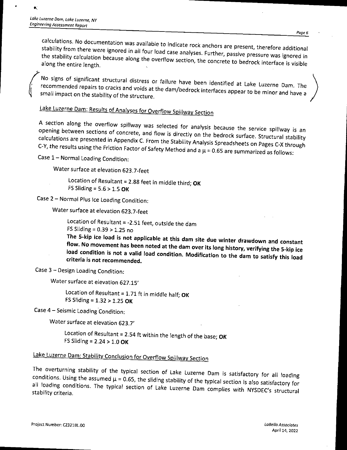¢.

No signs of significant structural distress or failure have been identified at Lake Luzerne Dam. The recommended repairs to cracks and voids at the dam/bedrock interfaces appear to be minor and have a small impact on the stability of the structure.

## Lake Luzerne Dam: Results of Analyses for Overflow Spillway Section

A section along the overflow spillway was selected for analysis because the service spillway is an opening between sections of concrete, and flow is directly on the bedrock surface. Structural stability calculations are presented in Appendix C. From the Stability on the flow is directly surface. Structural stability C-Y, the results using the Friction Fester of C. C. C. C. Submity Analysis Spreadsheets on Pages C-X through C-Y, the results using the Friction Factor of Safety Method and a  $\mu$  = 0.65 are summarized as follows:

Case 1— Normal Loading Condition:

Water surface at elevation 623.7-feet

Location of Resultant = 2.88 feet in middle third; OK FS Sliding =  $5.6 > 1.5$  OK

Case 2— Normal Plus Ice Loading Condition:

Water surface at elevation 623.7-feet

Location of Resultant=- 2. 51 feet, outside the dam FS Sliding =  $0.39 > 1.25$  no

The 5-kip ice load is not applicable at this dam site due winter drawdown and constant<br>flow. No movement has been noted at the dam over its long history, verifying the 5-kip ice fload condition is not a valid load condition. As the dam over  $\alpha$  is long history, verifying the 5-kip ice

criteria is not recommended.<br>Criteria is not recommended.

Case 3— Design Loading Condition:

Water surface at elevation 627. 15'

Location of Resultant =  $1.71$  ft in middle half; OK FS Sliding= 1. 32 > 1. 25 OK

Case 4— Seismic Loading Condition:

Water surface at elevation 623. 7'

Location of Resultant = 2.54 ft within the length of the base; OK FS Sliding =  $2.24 > 1.0$  OK

## Lake Luzerne Dam: Stability Conclusion for Overflow Spillway Section

The overturning stability of the typical section of Lake Luzerne Dam is satisfactory for all loading conditions. Using the assumed  $\mu$  = 0.65, the sliding stability of the typical section is also satisfactory for all loading conditions. The typical section of Lake Luzerne Dam complies with NYSDEC's structural